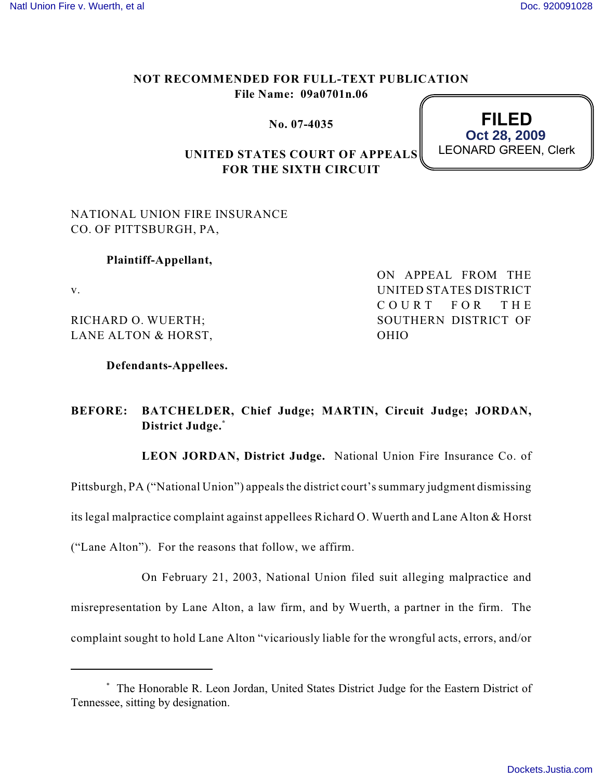## **NOT RECOMMENDED FOR FULL-TEXT PUBLICATION File Name: 09a0701n.06**

**No. 07-4035**



## **UNITED STATES COURT OF APPEALS FOR THE SIXTH CIRCUIT**

NATIONAL UNION FIRE INSURANCE CO. OF PITTSBURGH, PA,

## **Plaintiff-Appellant,**

v.

RICHARD O. WUERTH; LANE ALTON & HORST, ON APPEAL FROM THE UNITED STATES DISTRICT COURT FOR THE SOUTHERN DISTRICT OF OHIO

**Defendants-Appellees.**

## **BEFORE: BATCHELDER, Chief Judge; MARTIN, Circuit Judge; JORDAN, District Judge.\***

**LEON JORDAN, District Judge.** National Union Fire Insurance Co. of

Pittsburgh, PA ("National Union") appeals the district court's summary judgment dismissing

its legal malpractice complaint against appellees Richard O. Wuerth and Lane Alton & Horst

("Lane Alton"). For the reasons that follow, we affirm.

On February 21, 2003, National Union filed suit alleging malpractice and misrepresentation by Lane Alton, a law firm, and by Wuerth, a partner in the firm. The complaint sought to hold Lane Alton "vicariously liable for the wrongful acts, errors, and/or

The Honorable R. Leon Jordan, United States District Judge for the Eastern District of \* Tennessee, sitting by designation.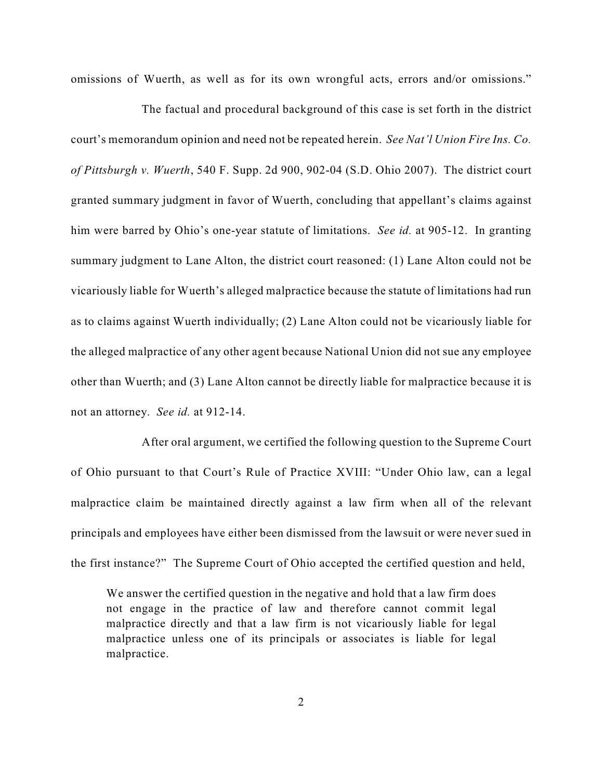omissions of Wuerth, as well as for its own wrongful acts, errors and/or omissions."

The factual and procedural background of this case is set forth in the district court's memorandum opinion and need not be repeated herein. *See Nat'l Union Fire Ins. Co. of Pittsburgh v. Wuerth*, 540 F. Supp. 2d 900, 902-04 (S.D. Ohio 2007). The district court granted summary judgment in favor of Wuerth, concluding that appellant's claims against him were barred by Ohio's one-year statute of limitations. *See id.* at 905-12. In granting summary judgment to Lane Alton, the district court reasoned: (1) Lane Alton could not be vicariously liable for Wuerth's alleged malpractice because the statute of limitations had run as to claims against Wuerth individually; (2) Lane Alton could not be vicariously liable for the alleged malpractice of any other agent because National Union did not sue any employee other than Wuerth; and (3) Lane Alton cannot be directly liable for malpractice because it is not an attorney. *See id.* at 912-14.

After oral argument, we certified the following question to the Supreme Court of Ohio pursuant to that Court's Rule of Practice XVIII: "Under Ohio law, can a legal malpractice claim be maintained directly against a law firm when all of the relevant principals and employees have either been dismissed from the lawsuit or were never sued in the first instance?" The Supreme Court of Ohio accepted the certified question and held,

We answer the certified question in the negative and hold that a law firm does not engage in the practice of law and therefore cannot commit legal malpractice directly and that a law firm is not vicariously liable for legal malpractice unless one of its principals or associates is liable for legal malpractice.